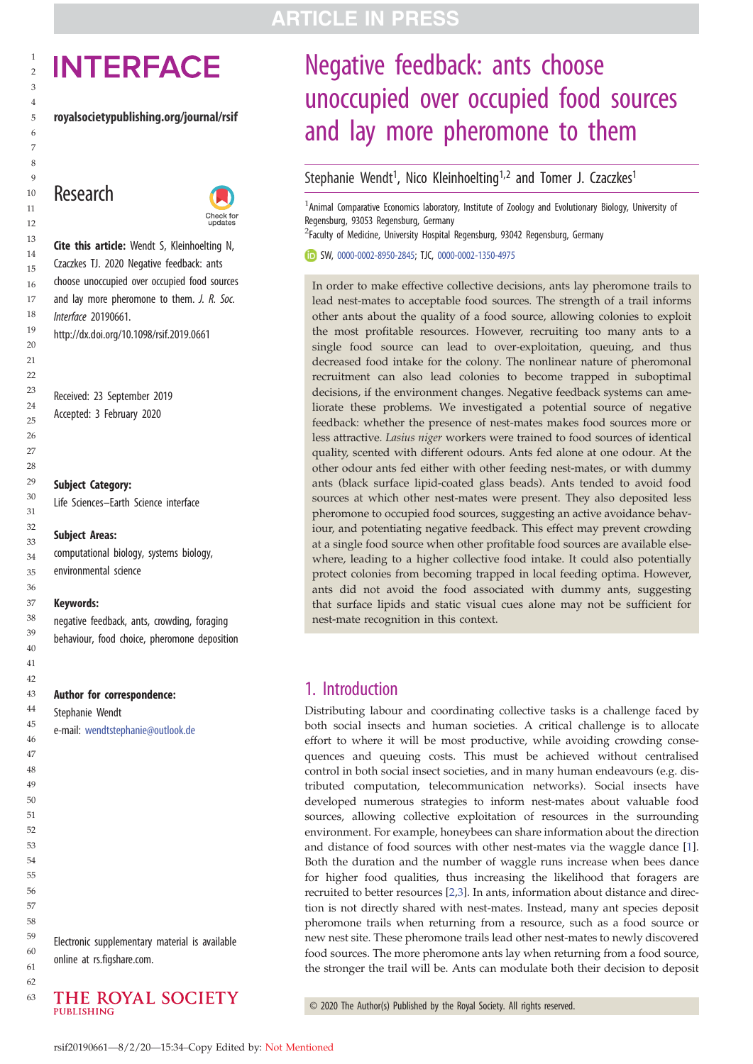# **INTERFACE**

### royalsocietypublishing.org/journal/rsif

# Research



Cite this article: Wendt S, Kleinhoelting N, Czaczkes TJ. 2020 Negative feedback: ants choose unoccupied over occupied food sources and lay more pheromone to them. J. R. Soc. Interface 20190661.

http://dx.doi.org/10.1098/rsif.2019.0661

Received: 23 September 2019 Accepted: 3 February 2020

### Subject Category:

Life Sciences–Earth Science interface

Subject Areas:

computational biology, systems biology, environmental science

### Keywords:

negative feedback, ants, crowding, foraging behaviour, food choice, pheromone deposition

Author for correspondence:

Stephanie Wendt e-mail: [wendtstephanie@outlook.de](mailto:wendtstephanie@outlook.de)

Electronic supplementary material is available online at rs.figshare.com.

### 61 62 63

### THE ROYAL SOCIETY PUBLISHING

# Negative feedback: ants choose unoccupied over occupied food sources and lay more pheromone to them

# Stephanie Wendt<sup>1</sup>, Nico Kleinhoelting<sup>1,2</sup> and Tomer J. Czaczkes<sup>1</sup>

<sup>1</sup> Animal Comparative Economics laboratory, Institute of Zoology and Evolutionary Biology, University of Regensburg, 93053 Regensburg, Germany

<sup>2</sup>Faculty of Medicine, University Hospital Regensburg, 93042 Regensburg, Germany

SW, [0000-0002-8950-2845;](http://orcid.org/0000-0002-8950-2845) TJC, [0000-0002-1350-4975](http://orcid.org/0000-0002-1350-4975)

In order to make effective collective decisions, ants lay pheromone trails to lead nest-mates to acceptable food sources. The strength of a trail informs other ants about the quality of a food source, allowing colonies to exploit the most profitable resources. However, recruiting too many ants to a single food source can lead to over-exploitation, queuing, and thus decreased food intake for the colony. The nonlinear nature of pheromonal recruitment can also lead colonies to become trapped in suboptimal decisions, if the environment changes. Negative feedback systems can ameliorate these problems. We investigated a potential source of negative feedback: whether the presence of nest-mates makes food sources more or less attractive. Lasius niger workers were trained to food sources of identical quality, scented with different odours. Ants fed alone at one odour. At the other odour ants fed either with other feeding nest-mates, or with dummy ants (black surface lipid-coated glass beads). Ants tended to avoid food sources at which other nest-mates were present. They also deposited less pheromone to occupied food sources, suggesting an active avoidance behaviour, and potentiating negative feedback. This effect may prevent crowding at a single food source when other profitable food sources are available elsewhere, leading to a higher collective food intake. It could also potentially protect colonies from becoming trapped in local feeding optima. However, ants did not avoid the food associated with dummy ants, suggesting that surface lipids and static visual cues alone may not be sufficient for nest-mate recognition in this context.

# 1. Introduction

Distributing labour and coordinating collective tasks is a challenge faced by both social insects and human societies. A critical challenge is to allocate effort to where it will be most productive, while avoiding crowding consequences and queuing costs. This must be achieved without centralised control in both social insect societies, and in many human endeavours (e.g. distributed computation, telecommunication networks). Social insects have developed numerous strategies to inform nest-mates about valuable food sources, allowing collective exploitation of resources in the surrounding environment. For example, honeybees can share information about the direction and distance of food sources with other nest-mates via the waggle dance [\[1\]](#page-6-0). Both the duration and the number of waggle runs increase when bees dance for higher food qualities, thus increasing the likelihood that foragers are recruited to better resources [\[2,3](#page-6-0)]. In ants, information about distance and direction is not directly shared with nest-mates. Instead, many ant species deposit pheromone trails when returning from a resource, such as a food source or new nest site. These pheromone trails lead other nest-mates to newly discovered food sources. The more pheromone ants lay when returning from a food source, the stronger the trail will be. Ants can modulate both their decision to deposit

© 2020 The Author(s) Published by the Royal Society. All rights reserved.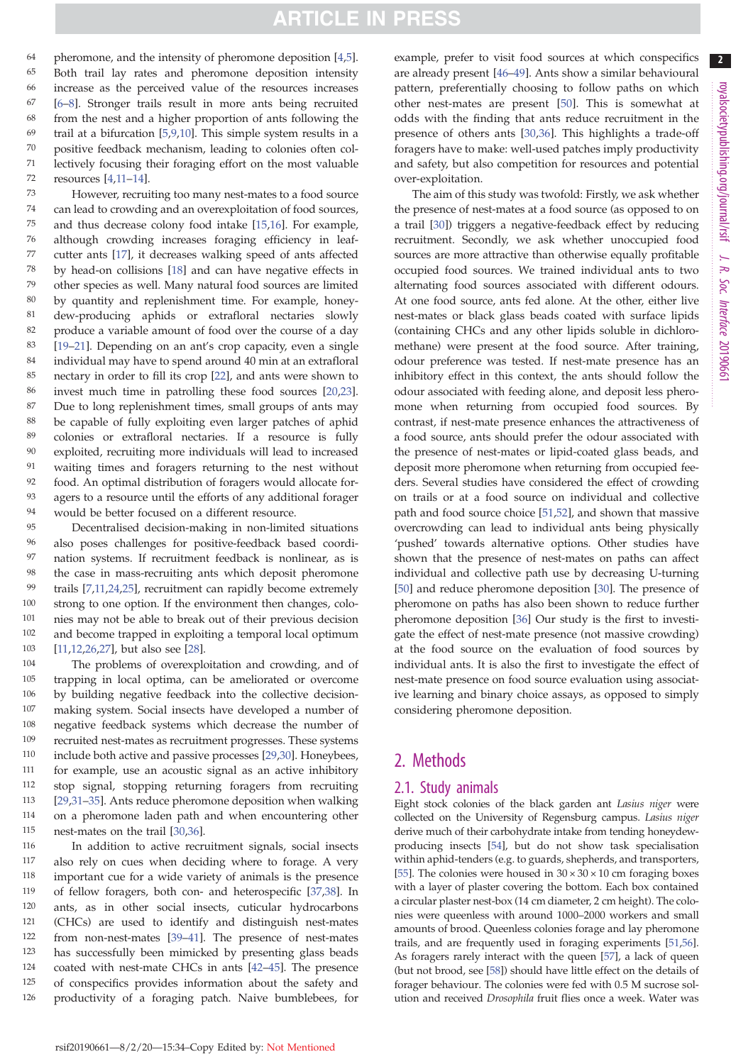pheromone, and the intensity of pheromone deposition [\[4,5](#page-6-0)]. Both trail lay rates and pheromone deposition intensity increase as the perceived value of the resources increases [\[6](#page-6-0)–[8\]](#page-6-0). Stronger trails result in more ants being recruited from the nest and a higher proportion of ants following the trail at a bifurcation [[5,9,10\]](#page-6-0). This simple system results in a positive feedback mechanism, leading to colonies often collectively focusing their foraging effort on the most valuable resources [\[4,11](#page-6-0)–[14\]](#page-7-0).  $^{64}$  pheromone, and the intensity of pheromone deposition [4,5]. example, prefer to visit food sources at which conspecifics **2** 65 66 67 68 69 70 71 72

However, recruiting too many nest-mates to a food source can lead to crowding and an overexploitation of food sources, and thus decrease colony food intake [\[15](#page-7-0),[16\]](#page-7-0). For example, although crowding increases foraging efficiency in leafcutter ants [[17\]](#page-7-0), it decreases walking speed of ants affected by head-on collisions [[18\]](#page-7-0) and can have negative effects in other species as well. Many natural food sources are limited by quantity and replenishment time. For example, honeydew-producing aphids or extrafloral nectaries slowly produce a variable amount of food over the course of a day [\[19](#page-7-0)–[21\]](#page-7-0). Depending on an ant's crop capacity, even a single individual may have to spend around 40 min at an extrafloral nectary in order to fill its crop [[22\]](#page-7-0), and ants were shown to invest much time in patrolling these food sources [\[20,23](#page-7-0)]. Due to long replenishment times, small groups of ants may be capable of fully exploiting even larger patches of aphid colonies or extrafloral nectaries. If a resource is fully exploited, recruiting more individuals will lead to increased waiting times and foragers returning to the nest without food. An optimal distribution of foragers would allocate foragers to a resource until the efforts of any additional forager would be better focused on a different resource. 73 74 75 76 77 78 79 80 81 82 83 84 85 86 87 88 89 90 91 92 93  $Q_{\Delta}$ 

Decentralised decision-making in non-limited situations also poses challenges for positive-feedback based coordination systems. If recruitment feedback is nonlinear, as is the case in mass-recruiting ants which deposit pheromone trails [\[7,11](#page-6-0),[24,25\]](#page-7-0), recruitment can rapidly become extremely strong to one option. If the environment then changes, colonies may not be able to break out of their previous decision and become trapped in exploiting a temporal local optimum [\[11,12](#page-6-0)[,26](#page-7-0),[27\]](#page-7-0), but also see [[28\]](#page-7-0).  $95$ 96 97 98 99 100 101 102 103

The problems of overexploitation and crowding, and of trapping in local optima, can be ameliorated or overcome by building negative feedback into the collective decisionmaking system. Social insects have developed a number of negative feedback systems which decrease the number of recruited nest-mates as recruitment progresses. These systems include both active and passive processes [\[29,30](#page-7-0)]. Honeybees, for example, use an acoustic signal as an active inhibitory stop signal, stopping returning foragers from recruiting [\[29](#page-7-0),[31](#page-7-0)–[35](#page-7-0)]. Ants reduce pheromone deposition when walking on a pheromone laden path and when encountering other nest-mates on the trail [\[30,36](#page-7-0)]. 104 105 106 107 108 109 110 111 112 113 114 115

In addition to active recruitment signals, social insects also rely on cues when deciding where to forage. A very important cue for a wide variety of animals is the presence of fellow foragers, both con- and heterospecific [[37,38\]](#page-7-0). In ants, as in other social insects, cuticular hydrocarbons (CHCs) are used to identify and distinguish nest-mates from non-nest-mates [\[39](#page-7-0)–[41\]](#page-7-0). The presence of nest-mates has successfully been mimicked by presenting glass beads coated with nest-mate CHCs in ants [[42](#page-7-0)–[45](#page-7-0)]. The presence of conspecifics provides information about the safety and productivity of a foraging patch. Naive bumblebees, for 116 117 118 119 120 121 122 123 124 125 126

are already present [[46](#page-7-0)–[49](#page-7-0)]. Ants show a similar behavioural pattern, preferentially choosing to follow paths on which other nest-mates are present [\[50\]](#page-7-0). This is somewhat at odds with the finding that ants reduce recruitment in the presence of others ants [[30,36](#page-7-0)]. This highlights a trade-off foragers have to make: well-used patches imply productivity and safety, but also competition for resources and potential over-exploitation.

The aim of this study was twofold: Firstly, we ask whether the presence of nest-mates at a food source (as opposed to on a trail [[30\]](#page-7-0)) triggers a negative-feedback effect by reducing recruitment. Secondly, we ask whether unoccupied food sources are more attractive than otherwise equally profitable occupied food sources. We trained individual ants to two alternating food sources associated with different odours. At one food source, ants fed alone. At the other, either live nest-mates or black glass beads coated with surface lipids (containing CHCs and any other lipids soluble in dichloromethane) were present at the food source. After training, odour preference was tested. If nest-mate presence has an inhibitory effect in this context, the ants should follow the odour associated with feeding alone, and deposit less pheromone when returning from occupied food sources. By contrast, if nest-mate presence enhances the attractiveness of a food source, ants should prefer the odour associated with the presence of nest-mates or lipid-coated glass beads, and deposit more pheromone when returning from occupied feeders. Several studies have considered the effect of crowding on trails or at a food source on individual and collective path and food source choice [[51,52](#page-7-0)], and shown that massive overcrowding can lead to individual ants being physically 'pushed' towards alternative options. Other studies have shown that the presence of nest-mates on paths can affect individual and collective path use by decreasing U-turning [[50\]](#page-7-0) and reduce pheromone deposition [[30\]](#page-7-0). The presence of pheromone on paths has also been shown to reduce further pheromone deposition [\[36](#page-7-0)] Our study is the first to investigate the effect of nest-mate presence (not massive crowding) at the food source on the evaluation of food sources by individual ants. It is also the first to investigate the effect of nest-mate presence on food source evaluation using associative learning and binary choice assays, as opposed to simply considering pheromone deposition.

# 2. Methods

### 2.1. Study animals

Eight stock colonies of the black garden ant Lasius niger were collected on the University of Regensburg campus. Lasius niger derive much of their carbohydrate intake from tending honeydewproducing insects [\[54\]](#page-7-0), but do not show task specialisation within aphid-tenders (e.g. to guards, shepherds, and transporters, [[55](#page-7-0)]. The colonies were housed in  $30 \times 30 \times 10$  cm foraging boxes with a layer of plaster covering the bottom. Each box contained a circular plaster nest-box (14 cm diameter, 2 cm height). The colonies were queenless with around 1000–2000 workers and small amounts of brood. Queenless colonies forage and lay pheromone trails, and are frequently used in foraging experiments [[51,56\]](#page-7-0). As foragers rarely interact with the queen [[57](#page-7-0)], a lack of queen (but not brood, see [\[58\]](#page-7-0)) should have little effect on the details of forager behaviour. The colonies were fed with 0.5 M sucrose solution and received Drosophila fruit flies once a week. Water was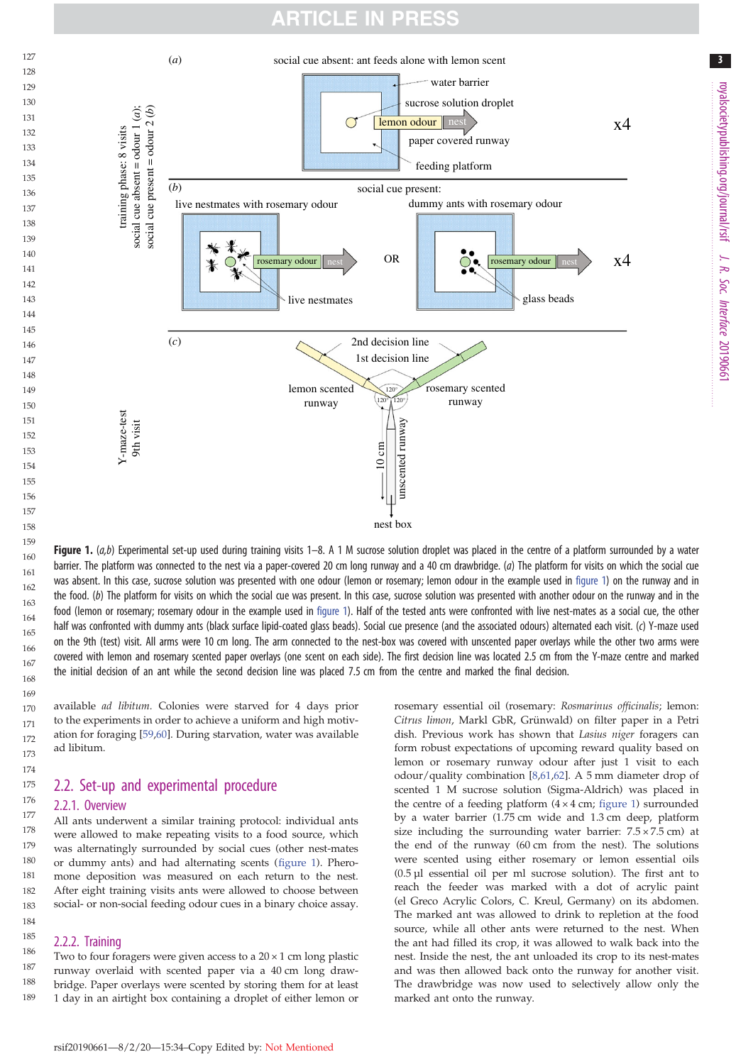<span id="page-2-0"></span>

Figure 1.  $(a,b)$  Experimental set-up used during training visits 1–8. A 1 M sucrose solution droplet was placed in the centre of a platform surrounded by a water barrier. The platform was connected to the nest via a paper-covered 20 cm long runway and a 40 cm drawbridge. (a) The platform for visits on which the social cue was absent. In this case, sucrose solution was presented with one odour (lemon or rosemary; lemon odour in the example used in figure 1) on the runway and in the food. (b) The platform for visits on which the social cue was present. In this case, sucrose solution was presented with another odour on the runway and in the food (lemon or rosemary; rosemary odour in the example used in figure 1). Half of the tested ants were confronted with live nest-mates as a social cue, the other half was confronted with dummy ants (black surface lipid-coated glass beads). Social cue presence (and the associated odours) alternated each visit. (c) Y-maze used on the 9th (test) visit. All arms were 10 cm long. The arm connected to the nest-box was covered with unscented paper overlays while the other two arms were covered with lemon and rosemary scented paper overlays (one scent on each side). The first decision line was located 2.5 cm from the Y-maze centre and marked the initial decision of an ant while the second decision line was placed 7.5 cm from the centre and marked the final decision.

available ad libitum. Colonies were starved for 4 days prior to the experiments in order to achieve a uniform and high motivation for foraging [[59](#page-8-0),[60](#page-8-0)]. During starvation, water was available ad libitum.

#### 2.2. Set-up and experimental procedure 175

#### 2.2.1. Overview 176

All ants underwent a similar training protocol: individual ants were allowed to make repeating visits to a food source, which was alternatingly surrounded by social cues (other nest-mates or dummy ants) and had alternating scents (figure 1). Pheromone deposition was measured on each return to the nest. After eight training visits ants were allowed to choose between social- or non-social feeding odour cues in a binary choice assay. 177 178 179 180 181 182 183 184

#### 2.2.2. Training 185

Two to four foragers were given access to a  $20 \times 1$  cm long plastic runway overlaid with scented paper via a 40 cm long drawbridge. Paper overlays were scented by storing them for at least 1 day in an airtight box containing a droplet of either lemon or 186 187 188 189

rosemary essential oil (rosemary: Rosmarinus officinalis; lemon: Citrus limon, Markl GbR, Grünwald) on filter paper in a Petri dish. Previous work has shown that Lasius niger foragers can form robust expectations of upcoming reward quality based on lemon or rosemary runway odour after just 1 visit to each odour/quality combination [\[8](#page-6-0)[,61,62\]](#page-8-0). A 5 mm diameter drop of scented 1 M sucrose solution (Sigma-Aldrich) was placed in the centre of a feeding platform  $(4 \times 4 \text{ cm}$ ; figure 1) surrounded by a water barrier (1.75 cm wide and 1.3 cm deep, platform size including the surrounding water barrier:  $7.5 \times 7.5$  cm) at the end of the runway (60 cm from the nest). The solutions were scented using either rosemary or lemon essential oils (0.5 µl essential oil per ml sucrose solution). The first ant to reach the feeder was marked with a dot of acrylic paint (el Greco Acrylic Colors, C. Kreul, Germany) on its abdomen. The marked ant was allowed to drink to repletion at the food source, while all other ants were returned to the nest. When the ant had filled its crop, it was allowed to walk back into the nest. Inside the nest, the ant unloaded its crop to its nest-mates and was then allowed back onto the runway for another visit. The drawbridge was now used to selectively allow only the marked ant onto the runway.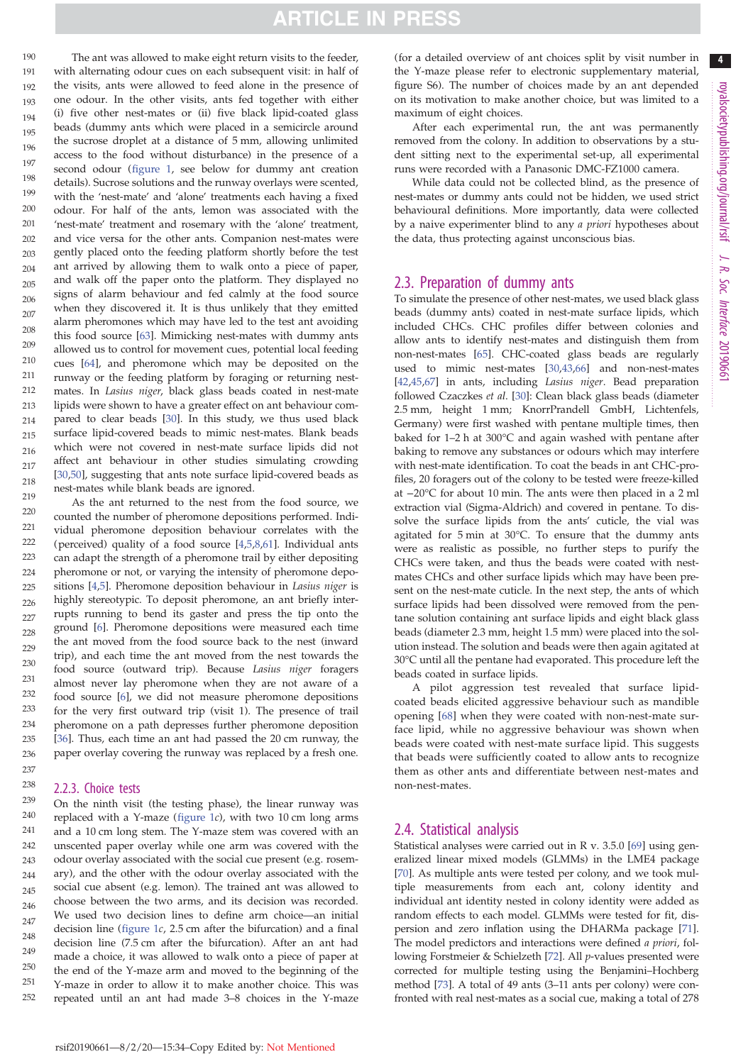<sup>190</sup> The ant was allowed to make eight return visits to the feeder, (for a detailed overview of ant choices split by visit number in with alternating odour cues on each subsequent visit: in half of the visits, ants were allowed to feed alone in the presence of one odour. In the other visits, ants fed together with either (i) five other nest-mates or (ii) five black lipid-coated glass beads (dummy ants which were placed in a semicircle around the sucrose droplet at a distance of 5 mm, allowing unlimited access to the food without disturbance) in the presence of a second odour ([figure 1,](#page-2-0) see below for dummy ant creation details). Sucrose solutions and the runway overlays were scented, with the 'nest-mate' and 'alone' treatments each having a fixed odour. For half of the ants, lemon was associated with the 'nest-mate' treatment and rosemary with the 'alone' treatment, and vice versa for the other ants. Companion nest-mates were gently placed onto the feeding platform shortly before the test ant arrived by allowing them to walk onto a piece of paper, and walk off the paper onto the platform. They displayed no signs of alarm behaviour and fed calmly at the food source when they discovered it. It is thus unlikely that they emitted alarm pheromones which may have led to the test ant avoiding this food source [\[63\]](#page-8-0). Mimicking nest-mates with dummy ants allowed us to control for movement cues, potential local feeding cues [[64](#page-8-0)], and pheromone which may be deposited on the runway or the feeding platform by foraging or returning nestmates. In Lasius niger, black glass beads coated in nest-mate lipids were shown to have a greater effect on ant behaviour compared to clear beads [\[30\]](#page-7-0). In this study, we thus used black surface lipid-covered beads to mimic nest-mates. Blank beads which were not covered in nest-mate surface lipids did not affect ant behaviour in other studies simulating crowding [\[30,50](#page-7-0)], suggesting that ants note surface lipid-covered beads as nest-mates while blank beads are ignored. 191 192 193 194 195 196 197 198 199 200 201 202  $203$ 204 205 206 207 208  $209$ 210 211 212 213 214 215 216 217 218 219

As the ant returned to the nest from the food source, we counted the number of pheromone depositions performed. Individual pheromone deposition behaviour correlates with the (perceived) quality of a food source [[4,5](#page-6-0),[8,](#page-6-0)[61](#page-8-0)]. Individual ants can adapt the strength of a pheromone trail by either depositing pheromone or not, or varying the intensity of pheromone depositions [[4,5](#page-6-0)]. Pheromone deposition behaviour in Lasius niger is highly stereotypic. To deposit pheromone, an ant briefly interrupts running to bend its gaster and press the tip onto the ground [[6](#page-6-0)]. Pheromone depositions were measured each time the ant moved from the food source back to the nest (inward trip), and each time the ant moved from the nest towards the food source (outward trip). Because Lasius niger foragers almost never lay pheromone when they are not aware of a food source [\[6](#page-6-0)], we did not measure pheromone depositions for the very first outward trip (visit 1). The presence of trail pheromone on a path depresses further pheromone deposition [\[36\]](#page-7-0). Thus, each time an ant had passed the 20 cm runway, the paper overlay covering the runway was replaced by a fresh one.  $220$  $221$  $222$ 223 224 225 226 227 228  $229$ 230 231 232 233 234 235 236 237

#### 2.2.3. Choice tests 238

On the ninth visit (the testing phase), the linear runway was replaced with a Y-maze ([figure 1](#page-2-0)c), with two 10 cm long arms and a 10 cm long stem. The Y-maze stem was covered with an unscented paper overlay while one arm was covered with the odour overlay associated with the social cue present (e.g. rosemary), and the other with the odour overlay associated with the social cue absent (e.g. lemon). The trained ant was allowed to choose between the two arms, and its decision was recorded. We used two decision lines to define arm choice—an initial decision line ([figure 1](#page-2-0)c, 2.5 cm after the bifurcation) and a final decision line (7.5 cm after the bifurcation). After an ant had made a choice, it was allowed to walk onto a piece of paper at the end of the Y-maze arm and moved to the beginning of the Y-maze in order to allow it to make another choice. This was repeated until an ant had made 3–8 choices in the Y-maze 239 240 241 242 243 244 245 246 247 248 249 250 251 252

(for a detailed overview of ant choices split by visit number in the Y-maze please refer to electronic supplementary material, figure S6). The number of choices made by an ant depended on its motivation to make another choice, but was limited to a maximum of eight choices.

After each experimental run, the ant was permanently removed from the colony. In addition to observations by a student sitting next to the experimental set-up, all experimental runs were recorded with a Panasonic DMC-FZ1000 camera.

While data could not be collected blind, as the presence of nest-mates or dummy ants could not be hidden, we used strict behavioural definitions. More importantly, data were collected by a naive experimenter blind to any a priori hypotheses about the data, thus protecting against unconscious bias.

### 2.3. Preparation of dummy ants

To simulate the presence of other nest-mates, we used black glass beads (dummy ants) coated in nest-mate surface lipids, which included CHCs. CHC profiles differ between colonies and allow ants to identify nest-mates and distinguish them from non-nest-mates [\[65\]](#page-8-0). CHC-coated glass beads are regularly used to mimic nest-mates [[30,43,](#page-7-0)[66\]](#page-8-0) and non-nest-mates [[42,45,](#page-7-0)[67](#page-8-0)] in ants, including Lasius niger. Bead preparation followed Czaczkes et al. [[30](#page-7-0)]: Clean black glass beads (diameter 2.5 mm, height 1 mm; KnorrPrandell GmbH, Lichtenfels, Germany) were first washed with pentane multiple times, then baked for 1–2 h at 300°C and again washed with pentane after baking to remove any substances or odours which may interfere with nest-mate identification. To coat the beads in ant CHC-profiles, 20 foragers out of the colony to be tested were freeze-killed at −20°C for about 10 min. The ants were then placed in a 2 ml extraction vial (Sigma-Aldrich) and covered in pentane. To dissolve the surface lipids from the ants' cuticle, the vial was agitated for 5 min at 30°C. To ensure that the dummy ants were as realistic as possible, no further steps to purify the CHCs were taken, and thus the beads were coated with nestmates CHCs and other surface lipids which may have been present on the nest-mate cuticle. In the next step, the ants of which surface lipids had been dissolved were removed from the pentane solution containing ant surface lipids and eight black glass beads (diameter 2.3 mm, height 1.5 mm) were placed into the solution instead. The solution and beads were then again agitated at 30°C until all the pentane had evaporated. This procedure left the beads coated in surface lipids.

A pilot aggression test revealed that surface lipidcoated beads elicited aggressive behaviour such as mandible opening [\[68](#page-8-0)] when they were coated with non-nest-mate surface lipid, while no aggressive behaviour was shown when beads were coated with nest-mate surface lipid. This suggests that beads were sufficiently coated to allow ants to recognize them as other ants and differentiate between nest-mates and non-nest-mates.

### 2.4. Statistical analysis

Statistical analyses were carried out in R v. 3.5.0 [\[69\]](#page-8-0) using generalized linear mixed models (GLMMs) in the LME4 package [[70](#page-8-0)]. As multiple ants were tested per colony, and we took multiple measurements from each ant, colony identity and individual ant identity nested in colony identity were added as random effects to each model. GLMMs were tested for fit, dispersion and zero inflation using the DHARMa package [\[71\]](#page-8-0). The model predictors and interactions were defined a priori, following Forstmeier & Schielzeth [\[72\]](#page-8-0). All p-values presented were corrected for multiple testing using the Benjamini–Hochberg method [\[73\]](#page-8-0). A total of 49 ants (3–11 ants per colony) were confronted with real nest-mates as a social cue, making a total of 278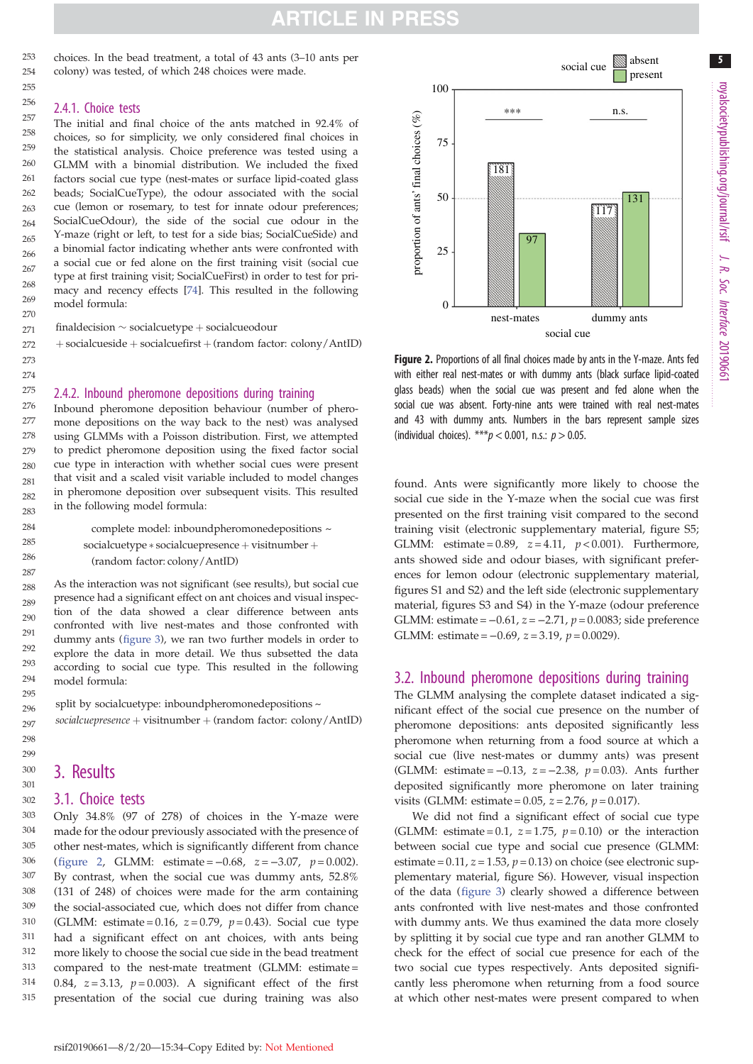<span id="page-4-0"></span>253 choices. In the bead treatment, a total of 43 ants  $(3-10)$  ants per colony) was tested, of which 248 choices were made. 254

#### 2.4.1. Choice tests 256

255

273 274 275

277 278 279

281

The initial and final choice of the ants matched in 92.4% of choices, so for simplicity, we only considered final choices in the statistical analysis. Choice preference was tested using a GLMM with a binomial distribution. We included the fixed factors social cue type (nest-mates or surface lipid-coated glass beads; SocialCueType), the odour associated with the social cue (lemon or rosemary, to test for innate odour preferences; SocialCueOdour), the side of the social cue odour in the Y-maze (right or left, to test for a side bias; SocialCueSide) and a binomial factor indicating whether ants were confronted with a social cue or fed alone on the first training visit (social cue type at first training visit; SocialCueFirst) in order to test for primacy and recency effects [[74](#page-8-0)]. This resulted in the following model formula: 257 258 259 260 261 262 263 264 265 266 267 268 269 270

finaldecision  $\sim$  socialcuetype  $+$  socialcueodour 271

þ socialcueside þ socialcuefirst þ (random factor: colony/AntID)  $272$ 

### 2.4.2. Inbound pheromone depositions during training

Inbound pheromone deposition behaviour (number of pheromone depositions on the way back to the nest) was analysed using GLMMs with a Poisson distribution. First, we attempted to predict pheromone deposition using the fixed factor social cue type in interaction with whether social cues were present that visit and a scaled visit variable included to model changes in pheromone deposition over subsequent visits. This resulted in the following model formula: 276 280 282

> complete model: inboundpheromonedepositions ~  ${\rm social}$ cuetype  $*$  socialcuepresence  $+$  visitnumber  $+$ (random factor: colony/AntID)

As the interaction was not significant (see results), but social cue presence had a significant effect on ant choices and visual inspection of the data showed a clear difference between ants confronted with live nest-mates and those confronted with dummy ants ([figure 3\)](#page-5-0), we ran two further models in order to explore the data in more detail. We thus subsetted the data according to social cue type. This resulted in the following model formula:

split by socialcuetype: inboundpheromonedepositions  $\sim$  $socialcuepresence + visitnumber + (random factor: colony/AntID)$ 

## 3. Results

#### 3.1. Choice tests 302

Only 34.8% (97 of 278) of choices in the Y-maze were made for the odour previously associated with the presence of other nest-mates, which is significantly different from chance (figure 2, GLMM: estimate =  $-0.68$ , z =  $-3.07$ , p = 0.002). By contrast, when the social cue was dummy ants, 52.8% (131 of 248) of choices were made for the arm containing the social-associated cue, which does not differ from chance (GLMM: estimate = 0.16,  $z = 0.79$ ,  $p = 0.43$ ). Social cue type had a significant effect on ant choices, with ants being more likely to choose the social cue side in the bead treatment compared to the nest-mate treatment (GLMM: estimate = 0.84,  $z = 3.13$ ,  $p = 0.003$ ). A significant effect of the first presentation of the social cue during training was also 303 304 305 306 307 308 309 310 311 312 313 314 315



Figure 2. Proportions of all final choices made by ants in the Y-maze. Ants fed with either real nest-mates or with dummy ants (black surface lipid-coated glass beads) when the social cue was present and fed alone when the social cue was absent. Forty-nine ants were trained with real nest-mates and 43 with dummy ants. Numbers in the bars represent sample sizes (individual choices). \*\*\* $p < 0.001$ , n.s.:  $p > 0.05$ .

found. Ants were significantly more likely to choose the social cue side in the Y-maze when the social cue was first presented on the first training visit compared to the second training visit (electronic supplementary material, figure S5; GLMM: estimate =  $0.89$ ,  $z = 4.11$ ,  $p < 0.001$ ). Furthermore, ants showed side and odour biases, with significant preferences for lemon odour (electronic supplementary material, figures S1 and S2) and the left side (electronic supplementary material, figures S3 and S4) in the Y-maze (odour preference GLMM: estimate =  $-0.61$ ,  $z = -2.71$ ,  $p = 0.0083$ ; side preference GLMM: estimate =  $-0.69$ ,  $z = 3.19$ ,  $p = 0.0029$ ).

### 3.2. Inbound pheromone depositions during training

The GLMM analysing the complete dataset indicated a significant effect of the social cue presence on the number of pheromone depositions: ants deposited significantly less pheromone when returning from a food source at which a social cue (live nest-mates or dummy ants) was present (GLMM: estimate =  $-0.13$ ,  $z = -2.38$ ,  $p = 0.03$ ). Ants further deposited significantly more pheromone on later training visits (GLMM: estimate =  $0.05$ ,  $z = 2.76$ ,  $p = 0.017$ ).

We did not find a significant effect of social cue type (GLMM: estimate = 0.1,  $z = 1.75$ ,  $p = 0.10$ ) or the interaction between social cue type and social cue presence (GLMM: estimate =  $0.11$ ,  $z = 1.53$ ,  $p = 0.13$ ) on choice (see electronic supplementary material, figure S6). However, visual inspection of the data [\(figure 3\)](#page-5-0) clearly showed a difference between ants confronted with live nest-mates and those confronted with dummy ants. We thus examined the data more closely by splitting it by social cue type and ran another GLMM to check for the effect of social cue presence for each of the two social cue types respectively. Ants deposited significantly less pheromone when returning from a food source at which other nest-mates were present compared to when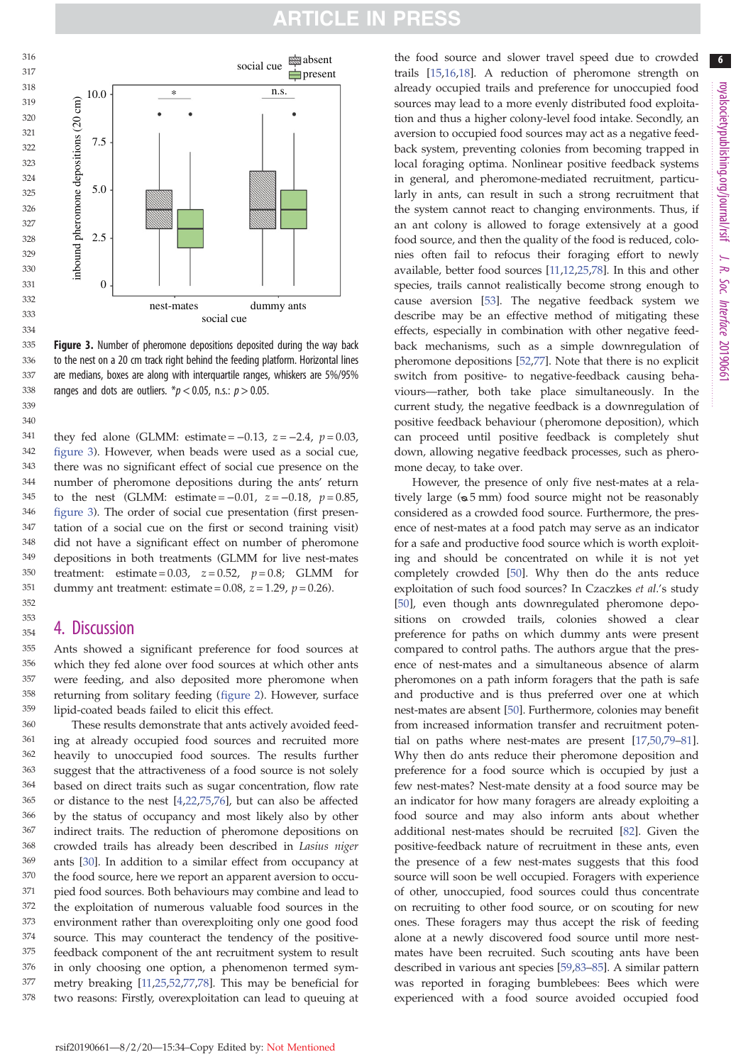<span id="page-5-0"></span>

Figure 3. Number of pheromone depositions deposited during the way back to the nest on a 20 cm track right behind the feeding platform. Horizontal lines are medians, boxes are along with interquartile ranges, whiskers are 5%/95% ranges and dots are outliers. \* $p < 0.05$ , n.s.:  $p > 0.05$ .

they fed alone (GLMM: estimate =  $-0.13$ ,  $z = -2.4$ ,  $p = 0.03$ , figure 3). However, when beads were used as a social cue, there was no significant effect of social cue presence on the number of pheromone depositions during the ants' return to the nest (GLMM: estimate =  $-0.01$ ,  $z = -0.18$ ,  $p = 0.85$ , figure 3). The order of social cue presentation (first presentation of a social cue on the first or second training visit) did not have a significant effect on number of pheromone depositions in both treatments (GLMM for live nest-mates treatment: estimate = 0.03,  $z = 0.52$ ,  $p = 0.8$ ; GLMM for dummy ant treatment: estimate =  $0.08$ ,  $z = 1.29$ ,  $p = 0.26$ ). 346

### 4. Discussion

> Ants showed a significant preference for food sources at which they fed alone over food sources at which other ants were feeding, and also deposited more pheromone when returning from solitary feeding [\(figure 2\)](#page-4-0). However, surface lipid-coated beads failed to elicit this effect.

These results demonstrate that ants actively avoided feeding at already occupied food sources and recruited more heavily to unoccupied food sources. The results further suggest that the attractiveness of a food source is not solely based on direct traits such as sugar concentration, flow rate or distance to the nest [\[4,](#page-6-0)[22,](#page-7-0)[75,76](#page-8-0)], but can also be affected by the status of occupancy and most likely also by other indirect traits. The reduction of pheromone depositions on crowded trails has already been described in Lasius niger ants [[30](#page-7-0)]. In addition to a similar effect from occupancy at the food source, here we report an apparent aversion to occupied food sources. Both behaviours may combine and lead to the exploitation of numerous valuable food sources in the environment rather than overexploiting only one good food source. This may counteract the tendency of the positivefeedback component of the ant recruitment system to result in only choosing one option, a phenomenon termed symmetry breaking [[11](#page-6-0),[25,52,](#page-7-0)[77,78](#page-8-0)]. This may be beneficial for two reasons: Firstly, overexploitation can lead to queuing at 360 361 362 363 364 365 366 367 368 369 370 371 372 373 374 375 376 377 378

trails [\[15,16,18\]](#page-7-0). A reduction of pheromone strength on already occupied trails and preference for unoccupied food sources may lead to a more evenly distributed food exploitation and thus a higher colony-level food intake. Secondly, an aversion to occupied food sources may act as a negative feedback system, preventing colonies from becoming trapped in local foraging optima. Nonlinear positive feedback systems in general, and pheromone-mediated recruitment, particularly in ants, can result in such a strong recruitment that the system cannot react to changing environments. Thus, if an ant colony is allowed to forage extensively at a good food source, and then the quality of the food is reduced, colonies often fail to refocus their foraging effort to newly available, better food sources [[11,12](#page-6-0),[25,](#page-7-0)[78\]](#page-8-0). In this and other species, trails cannot realistically become strong enough to cause aversion [\[53](#page-7-0)]. The negative feedback system we describe may be an effective method of mitigating these effects, especially in combination with other negative feedback mechanisms, such as a simple downregulation of pheromone depositions [[52,](#page-7-0)[77](#page-8-0)]. Note that there is no explicit switch from positive- to negative-feedback causing behaviours—rather, both take place simultaneously. In the current study, the negative feedback is a downregulation of positive feedback behaviour (pheromone deposition), which can proceed until positive feedback is completely shut down, allowing negative feedback processes, such as pheromone decay, to take over.

However, the presence of only five nest-mates at a relatively large  $(5 \text{ mm})$  food source might not be reasonably considered as a crowded food source. Furthermore, the presence of nest-mates at a food patch may serve as an indicator for a safe and productive food source which is worth exploiting and should be concentrated on while it is not yet completely crowded [[50\]](#page-7-0). Why then do the ants reduce exploitation of such food sources? In Czaczkes et al.'s study [[50\]](#page-7-0), even though ants downregulated pheromone depositions on crowded trails, colonies showed a clear preference for paths on which dummy ants were present compared to control paths. The authors argue that the presence of nest-mates and a simultaneous absence of alarm pheromones on a path inform foragers that the path is safe and productive and is thus preferred over one at which nest-mates are absent [\[50\]](#page-7-0). Furthermore, colonies may benefit from increased information transfer and recruitment potential on paths where nest-mates are present [[17,50](#page-7-0)[,79](#page-8-0)–[81\]](#page-8-0). Why then do ants reduce their pheromone deposition and preference for a food source which is occupied by just a few nest-mates? Nest-mate density at a food source may be an indicator for how many foragers are already exploiting a food source and may also inform ants about whether additional nest-mates should be recruited [[82\]](#page-8-0). Given the positive-feedback nature of recruitment in these ants, even the presence of a few nest-mates suggests that this food source will soon be well occupied. Foragers with experience of other, unoccupied, food sources could thus concentrate on recruiting to other food source, or on scouting for new ones. These foragers may thus accept the risk of feeding alone at a newly discovered food source until more nestmates have been recruited. Such scouting ants have been described in various ant species [[59](#page-8-0),[83](#page-8-0)–[85](#page-8-0)]. A similar pattern was reported in foraging bumblebees: Bees which were experienced with a food source avoided occupied food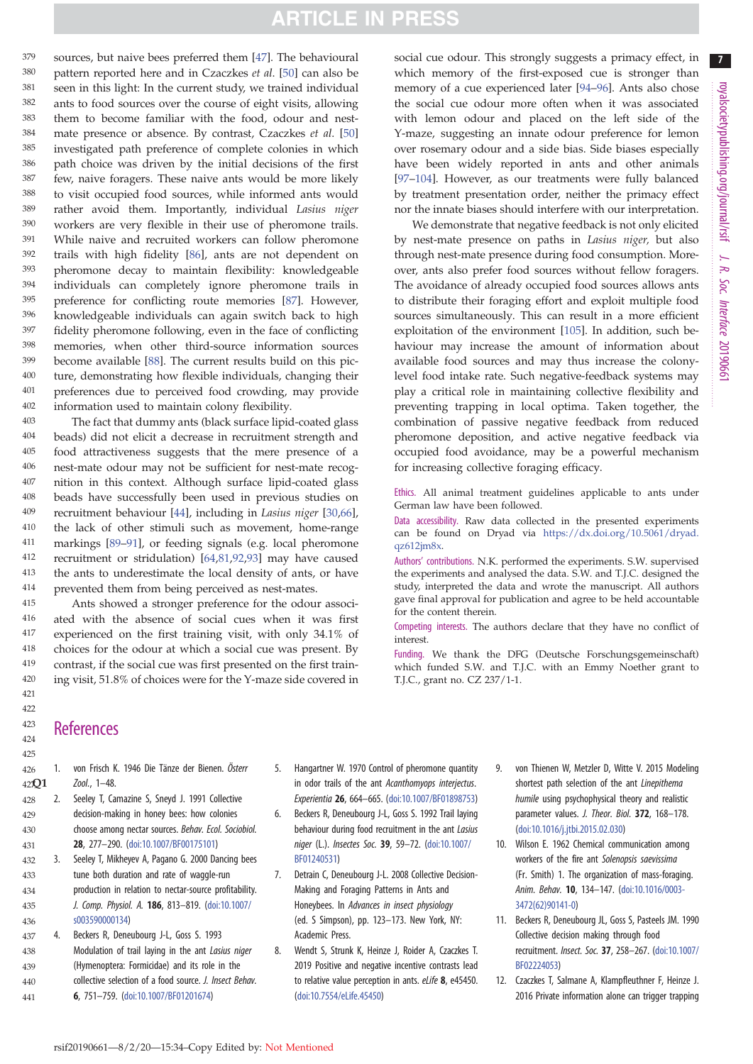<span id="page-6-0"></span>379 sources, but naive bees preferred them [\[47](#page-7-0)]. The behavioural social cue odour. This strongly suggests a primacy effect, in pattern reported here and in Czaczkes et al. [[50\]](#page-7-0) can also be seen in this light: In the current study, we trained individual ants to food sources over the course of eight visits, allowing them to become familiar with the food, odour and nestmate presence or absence. By contrast, Czaczkes et al. [[50\]](#page-7-0) investigated path preference of complete colonies in which path choice was driven by the initial decisions of the first few, naive foragers. These naive ants would be more likely to visit occupied food sources, while informed ants would rather avoid them. Importantly, individual Lasius niger workers are very flexible in their use of pheromone trails. While naive and recruited workers can follow pheromone trails with high fidelity [[86\]](#page-8-0), ants are not dependent on pheromone decay to maintain flexibility: knowledgeable individuals can completely ignore pheromone trails in preference for conflicting route memories [[87\]](#page-8-0). However, knowledgeable individuals can again switch back to high fidelity pheromone following, even in the face of conflicting memories, when other third-source information sources become available [\[88](#page-8-0)]. The current results build on this picture, demonstrating how flexible individuals, changing their preferences due to perceived food crowding, may provide information used to maintain colony flexibility. 380 381 382 383 384 385 386 387 388 389 390 391 392 393 394 395 396 397 398 399 400 401 402

The fact that dummy ants (black surface lipid-coated glass beads) did not elicit a decrease in recruitment strength and food attractiveness suggests that the mere presence of a nest-mate odour may not be sufficient for nest-mate recognition in this context. Although surface lipid-coated glass beads have successfully been used in previous studies on recruitment behaviour [[44\]](#page-7-0), including in Lasius niger [\[30](#page-7-0)[,66](#page-8-0)], the lack of other stimuli such as movement, home-range markings [[89](#page-8-0)–[91](#page-8-0)], or feeding signals (e.g. local pheromone recruitment or stridulation) [\[64](#page-8-0),[81,92,93](#page-8-0)] may have caused the ants to underestimate the local density of ants, or have prevented them from being perceived as nest-mates. 403 404 405 406 407 408 409 410 411 412 413 414

Ants showed a stronger preference for the odour associated with the absence of social cues when it was first experienced on the first training visit, with only 34.1% of choices for the odour at which a social cue was present. By contrast, if the social cue was first presented on the first training visit, 51.8% of choices were for the Y-maze side covered in 415 416 417 418 419 420 421

social cue odour. This strongly suggests a primacy effect, in which memory of the first-exposed cue is stronger than memory of a cue experienced later [[94](#page-8-0)–[96\]](#page-8-0). Ants also chose the social cue odour more often when it was associated with lemon odour and placed on the left side of the Y-maze, suggesting an innate odour preference for lemon over rosemary odour and a side bias. Side biases especially have been widely reported in ants and other animals [[97](#page-8-0)–[104\]](#page-8-0). However, as our treatments were fully balanced by treatment presentation order, neither the primacy effect nor the innate biases should interfere with our interpretation.

We demonstrate that negative feedback is not only elicited by nest-mate presence on paths in Lasius niger, but also through nest-mate presence during food consumption. Moreover, ants also prefer food sources without fellow foragers. The avoidance of already occupied food sources allows ants to distribute their foraging effort and exploit multiple food sources simultaneously. This can result in a more efficient exploitation of the environment [\[105\]](#page-8-0). In addition, such behaviour may increase the amount of information about available food sources and may thus increase the colonylevel food intake rate. Such negative-feedback systems may play a critical role in maintaining collective flexibility and preventing trapping in local optima. Taken together, the combination of passive negative feedback from reduced pheromone deposition, and active negative feedback via occupied food avoidance, may be a powerful mechanism for increasing collective foraging efficacy.

Ethics. All animal treatment guidelines applicable to ants under German law have been followed.

Data accessibility. Raw data collected in the presented experiments can be found on Dryad via [https://dx.doi.org/10.5061/dryad.](https://dx.doi.org/10.5061/dryad.qz612jm8x) [qz612jm8x](https://dx.doi.org/10.5061/dryad.qz612jm8x).

Authors' contributions. N.K. performed the experiments. S.W. supervised the experiments and analysed the data. S.W. and T.J.C. designed the study, interpreted the data and wrote the manuscript. All authors gave final approval for publication and agree to be held accountable for the content therein.

Competing interests. The authors declare that they have no conflict of interest.

Funding. We thank the DFG (Deutsche Forschungsgemeinschaft) which funded S.W. and T.J.C. with an Emmy Noether grant to T.J.C., grant no. CZ 237/1-1.

# **References**

424 425 426

422 423

- 1. von Frisch K. 1946 Die Tänze der Bienen. Österr Zool., 1–48. 42<sub>01</sub>
- 2. Seeley T, Camazine S, Sneyd J. 1991 Collective decision-making in honey bees: how colonies choose among nectar sources. Behav. Ecol. Sociobiol. 28, 277–290. ([doi:10.1007/BF00175101](http://dx.doi.org/10.1007/BF00175101)) 428 429 430 431
- 3. Seeley T, Mikheyev A, Pagano G. 2000 Dancing bees tune both duration and rate of waggle-run production in relation to nectar-source profitability. J. Comp. Physiol. A. 186, 813–819. [\(doi:10.1007/](http://dx.doi.org/10.1007/s003590000134) [s003590000134](http://dx.doi.org/10.1007/s003590000134)) 432 433 434 435 436
- 4. Beckers R, Deneubourg J-L, Goss S. 1993 Modulation of trail laying in the ant Lasius niger (Hymenoptera: Formicidae) and its role in the collective selection of a food source. J. Insect Behav. 6, 751–759. [\(doi:10.1007/BF01201674\)](http://dx.doi.org/10.1007/BF01201674) 437 438 439 440 441
- 5. Hangartner W. 1970 Control of pheromone quantity in odor trails of the ant Acanthomyops interjectus. Experientia 26, 664–665. [\(doi:10.1007/BF01898753\)](http://dx.doi.org/10.1007/BF01898753)
- 6. Beckers R, Deneubourg J-L, Goss S. 1992 Trail laying behaviour during food recruitment in the ant Lasius niger (L.). Insectes Soc. 39, 59–72. [\(doi:10.1007/](http://dx.doi.org/10.1007/BF01240531) [BF01240531\)](http://dx.doi.org/10.1007/BF01240531)
- 7. Detrain C, Deneubourg J-L. 2008 Collective Decision-Making and Foraging Patterns in Ants and Honeybees. In Advances in insect physiology (ed. S Simpson), pp. 123–173. New York, NY: Academic Press.
- 8. Wendt S, Strunk K, Heinze J, Roider A, Czaczkes T. 2019 Positive and negative incentive contrasts lead to relative value perception in ants. eLife 8, e45450. [\(doi:10.7554/eLife.45450](http://dx.doi.org/10.7554/eLife.45450))
- 9. von Thienen W, Metzler D, Witte V. 2015 Modeling shortest path selection of the ant Linepithema humile using psychophysical theory and realistic parameter values. J. Theor. Biol. 372, 168-178. ([doi:10.1016/j.jtbi.2015.02.030](http://dx.doi.org/10.1016/j.jtbi.2015.02.030))
- 10. Wilson E. 1962 Chemical communication among workers of the fire ant Solenopsis saevissima (Fr. Smith) 1. The organization of mass-foraging. Anim. Behav. 10, 134–147. [\(doi:10.1016/0003-](http://dx.doi.org/10.1016/0003-3472(62)90141-0) [3472\(62\)90141-0](http://dx.doi.org/10.1016/0003-3472(62)90141-0))
- 11. Beckers R, Deneubourg JL, Goss S, Pasteels JM. 1990 Collective decision making through food recruitment. Insect. Soc. 37, 258–267. [\(doi:10.1007/](http://dx.doi.org/10.1007/BF02224053) [BF02224053](http://dx.doi.org/10.1007/BF02224053))
- 12. Czaczkes T, Salmane A, Klampfleuthner F, Heinze J. 2016 Private information alone can trigger trapping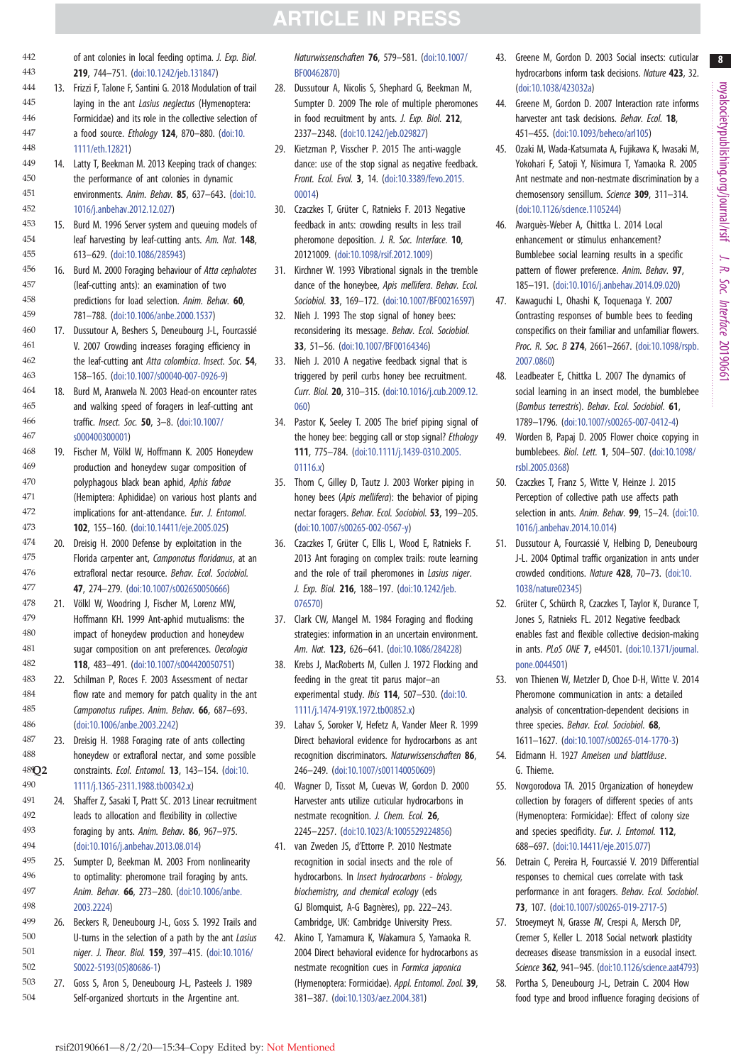- <span id="page-7-0"></span>of ant colonies in local feeding optima. J. Exp. Biol. 219, 744–751. ([doi:10.1242/jeb.131847\)](http://dx.doi.org/10.1242/jeb.131847) of ant colonies in local feeding optima. *J. Exp. Biol.* Maturwissenschaften **76**, 579–581. (doi:10.1007/ 43. Greene M, Gordon D. 2003 Social insects: cuticular 8 443
- 13. Frizzi F, Talone F, Santini G. 2018 Modulation of trail laying in the ant *Lasius neglectus* (Hymenoptera: Formicidae) and its role in the collective selection of a food source. Ethology 124, 870–880. [\(doi:10.](http://dx.doi.org/10.1111/eth.12821) [1111/eth.12821\)](http://dx.doi.org/10.1111/eth.12821) 444 445 446 447 448
- 14. Latty T, Beekman M. 2013 Keeping track of changes: the performance of ant colonies in dynamic environments. Anim. Behav. 85, 637–643. ([doi:10.](http://dx.doi.org/10.1016/j.anbehav.2012.12.027) [1016/j.anbehav.2012.12.027\)](http://dx.doi.org/10.1016/j.anbehav.2012.12.027) 449 450 451 452
- 15. Burd M. 1996 Server system and queuing models of leaf harvesting by leaf-cutting ants. Am. Nat. 148, 613–629. ([doi:10.1086/285943\)](http://dx.doi.org/10.1086/285943) 453 454 455
- 16. Burd M. 2000 Foraging behaviour of Atta cephalotes (leaf-cutting ants): an examination of two predictions for load selection. Anim. Behav. 60, 781–788. ([doi:10.1006/anbe.2000.1537](http://dx.doi.org/10.1006/anbe.2000.1537)) 456 457 458 459
- 17. Dussutour A, Beshers S, Deneubourg J-L, Fourcassié V. 2007 Crowding increases foraging efficiency in the leaf-cutting ant Atta colombica. Insect. Soc. 54, 158–165. ([doi:10.1007/s00040-007-0926-9](http://dx.doi.org/10.1007/s00040-007-0926-9)) 460 461 462 463
- 18. Burd M, Aranwela N. 2003 Head-on encounter rates and walking speed of foragers in leaf-cutting ant traffic. Insect. Soc. 50, 3–8. [\(doi:10.1007/](http://dx.doi.org/10.1007/s000400300001) [s000400300001](http://dx.doi.org/10.1007/s000400300001)) 464 465 466 467
- 19. Fischer M, Völkl W, Hoffmann K. 2005 Honeydew production and honeydew sugar composition of polyphagous black bean aphid, Aphis fabae (Hemiptera: Aphididae) on various host plants and implications for ant-attendance. Eur. J. Entomol. 102, 155–160. ([doi:10.14411/eje.2005.025\)](http://dx.doi.org/10.14411/eje.2005.025) 468 469 470 471 472 473
- 20. Dreisig H. 2000 Defense by exploitation in the Florida carpenter ant, Camponotus floridanus, at an extrafloral nectar resource. Behav. Ecol. Sociobiol. 47, 274–279. ([doi:10.1007/s002650050666](http://dx.doi.org/10.1007/s002650050666)) 474 475 476 477
- 21. Völkl W, Woodring J, Fischer M, Lorenz MW, Hoffmann KH. 1999 Ant-aphid mutualisms: the impact of honeydew production and honeydew sugar composition on ant preferences. Oecologia 118, 483–491. ([doi:10.1007/s004420050751](http://dx.doi.org/10.1007/s004420050751)) 478 479 480 481 482
- 22. Schilman P, Roces F. 2003 Assessment of nectar flow rate and memory for patch quality in the ant Camponotus rufipes. Anim. Behav. 66, 687–693. [\(doi:10.1006/anbe.2003.2242\)](http://dx.doi.org/10.1006/anbe.2003.2242) 483 484 485 486
- 23. Dreisig H. 1988 Foraging rate of ants collecting honeydew or extrafloral nectar, and some possible **Q2** constraints. Ecol. Entomol. 13, 143-154. ([doi:10.](http://dx.doi.org/10.1111/j.1365-2311.1988.tb00342.x) 246-249. (doi:10.1007/s001140050609) 6. Thieme. [1111/j.1365-2311.1988.tb00342.x](http://dx.doi.org/10.1111/j.1365-2311.1988.tb00342.x)) 487 488 48**02** 490
- 24. Shaffer Z, Sasaki T, Pratt SC. 2013 Linear recruitment leads to allocation and flexibility in collective foraging by ants. Anim. Behav. 86, 967–975. [\(doi:10.1016/j.anbehav.2013.08.014\)](http://dx.doi.org/10.1016/j.anbehav.2013.08.014) 491 492 493 494
- 25. Sumpter D, Beekman M. 2003 From nonlinearity to optimality: pheromone trail foraging by ants. Anim. Behav. 66, 273-280. ([doi:10.1006/anbe.](http://dx.doi.org/10.1006/anbe.2003.2224) [2003.2224\)](http://dx.doi.org/10.1006/anbe.2003.2224) 495 496 497 498
- 26. Beckers R, Deneubourg J-L, Goss S. 1992 Trails and U-turns in the selection of a path by the ant Lasius niger. J. Theor. Biol. 159, 397–415. [\(doi:10.1016/](http://dx.doi.org/10.1016/S0022-5193(05)80686-1) [S0022-5193\(05\)80686-1\)](http://dx.doi.org/10.1016/S0022-5193(05)80686-1) 499 500 501 502
- 27. Goss S, Aron S, Deneubourg J-L, Pasteels J. 1989 Self-organized shortcuts in the Argentine ant. 503 504

Naturwissenschaften 76, 579–581. [\(doi:10.1007/](http://dx.doi.org/10.1007/BF00462870) [BF00462870\)](http://dx.doi.org/10.1007/BF00462870)

- 28. Dussutour A, Nicolis S, Shephard G, Beekman M, Sumpter D. 2009 The role of multiple pheromones in food recruitment by ants. J. Exp. Biol. 212, 2337–2348. [\(doi:10.1242/jeb.029827](http://dx.doi.org/10.1242/jeb.029827))
- 29. Kietzman P, Visscher P. 2015 The anti-waggle dance: use of the stop signal as negative feedback. Front. Ecol. Evol. 3, 14. [\(doi:10.3389/fevo.2015.](http://dx.doi.org/10.3389/fevo.2015.00014) [00014\)](http://dx.doi.org/10.3389/fevo.2015.00014)
- 30. Czaczkes T, Grüter C, Ratnieks F. 2013 Negative feedback in ants: crowding results in less trail pheromone deposition. J. R. Soc. Interface. 10, 20121009. ([doi:10.1098/rsif.2012.1009\)](http://dx.doi.org/10.1098/rsif.2012.1009)
- 31. Kirchner W. 1993 Vibrational signals in the tremble dance of the honeybee, Apis mellifera. Behav. Ecol. Sociobiol. 33, 169–172. ([doi:10.1007/BF00216597](http://dx.doi.org/10.1007/BF00216597))
- 32. Nieh J. 1993 The stop signal of honey bees: reconsidering its message. Behav. Ecol. Sociobiol. 33, 51–56. [\(doi:10.1007/BF00164346](http://dx.doi.org/10.1007/BF00164346))
- 33. Nieh J. 2010 A negative feedback signal that is triggered by peril curbs honey bee recruitment. Curr. Biol. 20, 310–315. ([doi:10.1016/j.cub.2009.12.](http://dx.doi.org/10.1016/j.cub.2009.12.060) [060](http://dx.doi.org/10.1016/j.cub.2009.12.060))
- 34. Pastor K, Seeley T. 2005 The brief piping signal of the honey bee: begging call or stop signal? Ethology 111, 775–784. ([doi:10.1111/j.1439-0310.2005.](http://dx.doi.org/10.1111/j.1439-0310.2005.01116.x)  $(1116x)$
- 35. Thom C, Gilley D, Tautz J. 2003 Worker piping in honey bees (Apis mellifera): the behavior of piping nectar foragers. Behav. Ecol. Sociobiol. 53, 199–205. [\(doi:10.1007/s00265-002-0567-y](http://dx.doi.org/10.1007/s00265-002-0567-y))
- 36. Czaczkes T, Grüter C, Ellis L, Wood E, Ratnieks F. 2013 Ant foraging on complex trails: route learning and the role of trail pheromones in Lasius niger. J. Exp. Biol. 216, 188–197. [\(doi:10.1242/jeb.](http://dx.doi.org/10.1242/jeb.076570) [076570](http://dx.doi.org/10.1242/jeb.076570))
- 37. Clark CW, Mangel M. 1984 Foraging and flocking strategies: information in an uncertain environment. Am. Nat. 123, 626–641. [\(doi:10.1086/284228](http://dx.doi.org/10.1086/284228))
- 38. Krebs J, MacRoberts M, Cullen J. 1972 Flocking and feeding in the great tit parus major–an experimental study. Ibis 114, 507–530. ([doi:10.](http://dx.doi.org/10.1111/j.1474-919X.1972.tb00852.x) [1111/j.1474-919X.1972.tb00852.x\)](http://dx.doi.org/10.1111/j.1474-919X.1972.tb00852.x)
- 39. Lahav S, Soroker V, Hefetz A, Vander Meer R. 1999 Direct behavioral evidence for hydrocarbons as ant recognition discriminators. Naturwissenschaften 86, 246–249. ([doi:10.1007/s001140050609](http://dx.doi.org/10.1007/s001140050609))
- 40. Wagner D, Tissot M, Cuevas W, Gordon D. 2000 Harvester ants utilize cuticular hydrocarbons in nestmate recognition. J. Chem. Ecol. 26, 2245–2257. [\(doi:10.1023/A:1005529224856](http://dx.doi.org/10.1023/A:1005529224856))
- 41. van Zweden JS, d'Ettorre P. 2010 Nestmate recognition in social insects and the role of hydrocarbons. In Insect hydrocarbons - biology, biochemistry, and chemical ecology (eds GJ Blomquist, A-G Bagnères), pp. 222–243. Cambridge, UK: Cambridge University Press.
- 42. Akino T, Yamamura K, Wakamura S, Yamaoka R. 2004 Direct behavioral evidence for hydrocarbons as nestmate recognition cues in Formica japonica (Hymenoptera: Formicidae). Appl. Entomol. Zool. 39, 381–387. ([doi:10.1303/aez.2004.381](http://dx.doi.org/10.1303/aez.2004.381))
- hydrocarbons inform task decisions. Nature 423, 32. ([doi:10.1038/423032a\)](http://dx.doi.org/10.1038/423032a)
- 44. Greene M, Gordon D. 2007 Interaction rate informs harvester ant task decisions. Behav. Ecol. 18 451–455. [\(doi:10.1093/beheco/arl105](http://dx.doi.org/10.1093/beheco/arl105))
- 45. Ozaki M, Wada-Katsumata A, Fujikawa K, Iwasaki M, Yokohari F, Satoji Y, Nisimura T, Yamaoka R. 2005 Ant nestmate and non-nestmate discrimination by a chemosensory sensillum. Science 309, 311–314. ([doi:10.1126/science.1105244](http://dx.doi.org/10.1126/science.1105244))
- 46. Avarguès-Weber A, Chittka L. 2014 Local enhancement or stimulus enhancement? Bumblebee social learning results in a specific pattern of flower preference. Anim. Behav. 97, 185–191. [\(doi:10.1016/j.anbehav.2014.09.020\)](http://dx.doi.org/10.1016/j.anbehav.2014.09.020)
- 47. Kawaguchi L, Ohashi K, Toquenaga Y. 2007 Contrasting responses of bumble bees to feeding conspecifics on their familiar and unfamiliar flowers. Proc. R. Soc. B 274, 2661-2667. ([doi:10.1098/rspb.](http://dx.doi.org/10.1098/rspb.2007.0860) [2007.0860](http://dx.doi.org/10.1098/rspb.2007.0860))
- 48. Leadbeater E, Chittka L. 2007 The dynamics of social learning in an insect model, the bumblebee (Bombus terrestris). Behav. Ecol. Sociobiol. 61, 1789–1796. [\(doi:10.1007/s00265-007-0412-4](http://dx.doi.org/10.1007/s00265-007-0412-4))
- 49. Worden B, Papaj D. 2005 Flower choice copying in bumblebees. Biol. Lett. 1, 504–507. ([doi:10.1098/](http://dx.doi.org/10.1098/rsbl.2005.0368) [rsbl.2005.0368\)](http://dx.doi.org/10.1098/rsbl.2005.0368)
- 50. Czaczkes T, Franz S, Witte V, Heinze J. 2015 Perception of collective path use affects path selection in ants. Anim. Behav. 99, 15-24. [\(doi:10.](http://dx.doi.org/10.1016/j.anbehav.2014.10.014) [1016/j.anbehav.2014.10.014\)](http://dx.doi.org/10.1016/j.anbehav.2014.10.014)
- 51. Dussutour A, Fourcassié V, Helbing D, Deneubourg J-L. 2004 Optimal traffic organization in ants under crowded conditions. Nature 428, 70–73. [\(doi:10.](http://dx.doi.org/10.1038/nature02345) [1038/nature02345](http://dx.doi.org/10.1038/nature02345))
- 52. Grüter C, Schürch R, Czaczkes T, Taylor K, Durance T, Jones S, Ratnieks FL. 2012 Negative feedback enables fast and flexible collective decision-making in ants. PLoS ONE 7, e44501. [\(doi:10.1371/journal.](http://dx.doi.org/10.1371/journal.pone.0044501) [pone.0044501\)](http://dx.doi.org/10.1371/journal.pone.0044501)
- 53. von Thienen W, Metzler D, Choe D-H, Witte V. 2014 Pheromone communication in ants: a detailed analysis of concentration-dependent decisions in three species. Behav. Ecol. Sociobiol. 68, 1611–1627. [\(doi:10.1007/s00265-014-1770-3](http://dx.doi.org/10.1007/s00265-014-1770-3))
- 54. Eidmann H. 1927 Ameisen und blattläuse.
- 55. Novgorodova TA. 2015 Organization of honeydew collection by foragers of different species of ants (Hymenoptera: Formicidae): Effect of colony size and species specificity. Eur. J. Entomol. 112. 688–697. [\(doi:10.14411/eje.2015.077](http://dx.doi.org/10.14411/eje.2015.077))
- 56. Detrain C, Pereira H, Fourcassié V. 2019 Differential responses to chemical cues correlate with task performance in ant foragers. Behav. Ecol. Sociobiol. 73, 107. ([doi:10.1007/s00265-019-2717-5](http://dx.doi.org/10.1007/s00265-019-2717-5))
- 57. Stroeymeyt N, Grasse AV, Crespi A, Mersch DP, Cremer S, Keller L. 2018 Social network plasticity decreases disease transmission in a eusocial insect. Science 362, 941–945. [\(doi:10.1126/science.aat4793](http://dx.doi.org/10.1126/science.aat4793))
- 58. Portha S, Deneubourg J-L, Detrain C. 2004 How food type and brood influence foraging decisions of